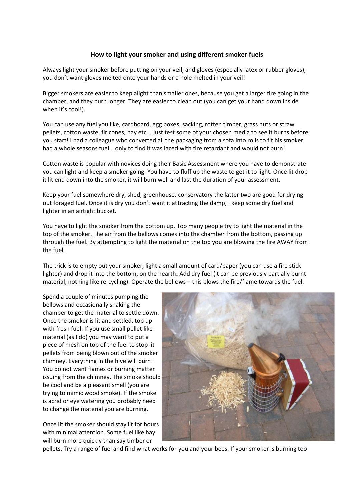## **How to light your smoker and using different smoker fuels**

Always light your smoker before putting on your veil, and gloves (especially latex or rubber gloves), you don't want gloves melted onto your hands or a hole melted in your veil!

Bigger smokers are easier to keep alight than smaller ones, because you get a larger fire going in the chamber, and they burn longer. They are easier to clean out (you can get your hand down inside when it's cool!).

You can use any fuel you like, cardboard, egg boxes, sacking, rotten timber, grass nuts or straw pellets, cotton waste, fir cones, hay etc... Just test some of your chosen media to see it burns before you start! I had a colleague who converted all the packaging from a sofa into rolls to fit his smoker, had a whole seasons fuel… only to find it was laced with fire retardant and would not burn!

Cotton waste is popular with novices doing their Basic Assessment where you have to demonstrate you can light and keep a smoker going. You have to fluff up the waste to get it to light. Once lit drop it lit end down into the smoker, it will burn well and last the duration of your assessment.

Keep your fuel somewhere dry, shed, greenhouse, conservatory the latter two are good for drying out foraged fuel. Once it is dry you don't want it attracting the damp, I keep some dry fuel and lighter in an airtight bucket.

You have to light the smoker from the bottom up. Too many people try to light the material in the top of the smoker. The air from the bellows comes into the chamber from the bottom, passing up through the fuel. By attempting to light the material on the top you are blowing the fire AWAY from the fuel.

The trick is to empty out your smoker, light a small amount of card/paper (you can use a fire stick lighter) and drop it into the bottom, on the hearth. Add dry fuel (it can be previously partially burnt material, nothing like re-cycling). Operate the bellows – this blows the fire/flame towards the fuel.

Spend a couple of minutes pumping the bellows and occasionally shaking the chamber to get the material to settle down. Once the smoker is lit and settled, top up with fresh fuel. If you use small pellet like material (as I do) you may want to put a piece of mesh on top of the fuel to stop lit pellets from being blown out of the smoker chimney. Everything in the hive will burn! You do not want flames or burning matter issuing from the chimney. The smoke should be cool and be a pleasant smell (you are trying to mimic wood smoke). If the smoke is acrid or eye watering you probably need to change the material you are burning.

Once lit the smoker should stay lit for hours with minimal attention. Some fuel like hay will burn more quickly than say timber or



pellets. Try a range of fuel and find what works for you and your bees. If your smoker is burning too